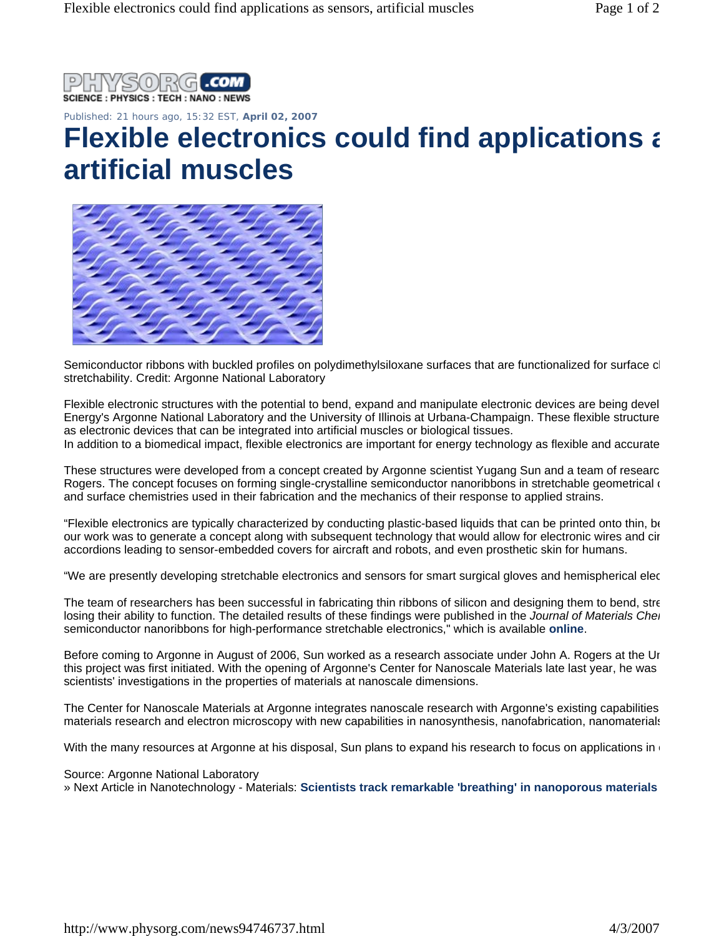

Published: 21 hours ago, 15:32 EST, **April 02, 2007** 

## **Flexible electronics could find applications and a artificial muscles**



Semiconductor ribbons with buckled profiles on polydimethylsiloxane surfaces that are functionalized for surface cl stretchability. Credit: Argonne National Laboratory

Flexible electronic structures with the potential to bend, expand and manipulate electronic devices are being devel Energy's Argonne National Laboratory and the University of Illinois at Urbana-Champaign. These flexible structure as electronic devices that can be integrated into artificial muscles or biological tissues.

In addition to a biomedical impact, flexible electronics are important for energy technology as flexible and accurate

These structures were developed from a concept created by Argonne scientist Yugang Sun and a team of researc Rogers. The concept focuses on forming single-crystalline semiconductor nanoribbons in stretchable geometrical o and surface chemistries used in their fabrication and the mechanics of their response to applied strains.

"Flexible electronics are typically characterized by conducting plastic-based liquids that can be printed onto thin, be our work was to generate a concept along with subsequent technology that would allow for electronic wires and cir accordions leading to sensor-embedded covers for aircraft and robots, and even prosthetic skin for humans.

"We are presently developing stretchable electronics and sensors for smart surgical gloves and hemispherical elec

The team of researchers has been successful in fabricating thin ribbons of silicon and designing them to bend, stre losing their ability to function. The detailed results of these findings were published in the *Journal of Materials Che*r semiconductor nanoribbons for high-performance stretchable electronics," which is available **online**.

Before coming to Argonne in August of 2006, Sun worked as a research associate under John A. Rogers at the Un this project was first initiated. With the opening of Argonne's Center for Nanoscale Materials late last year, he was scientists' investigations in the properties of materials at nanoscale dimensions.

The Center for Nanoscale Materials at Argonne integrates nanoscale research with Argonne's existing capabilities materials research and electron microscopy with new capabilities in nanosynthesis, nanofabrication, nanomaterials

With the many resources at Argonne at his disposal, Sun plans to expand his research to focus on applications in

Source: Argonne National Laboratory

» Next Article in Nanotechnology - Materials: **Scientists track remarkable 'breathing' in nanoporous materials**